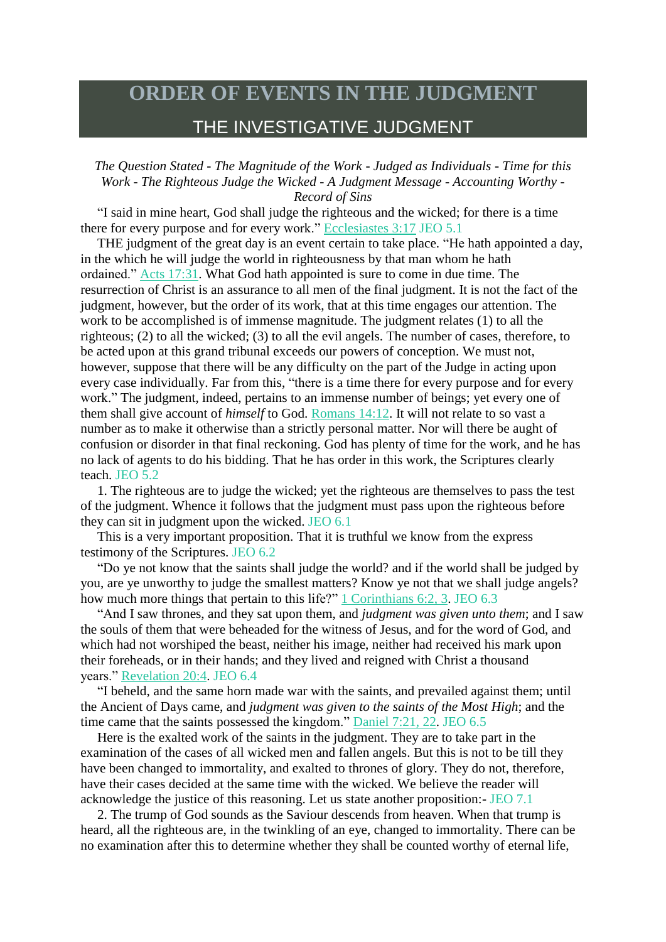## **ORDER OF EVENTS IN THE JUDGMENT** THE INVESTIGATIVE JUDGMENT

*The Question Stated - The Magnitude of the Work - Judged as Individuals - Time for this Work - The Righteous Judge the Wicked - A Judgment Message - Accounting Worthy - Record of Sins*

"I said in mine heart, God shall judge the righteous and the wicked; for there is a time there for every purpose and for every work." [Ecclesiastes](https://m.egwwritings.org/en/book/1965.35438#35438) 3:17 JEO 5.1

THE judgment of the great day is an event certain to take place. "He hath appointed a day, in the which he will judge the world in righteousness by that man whom he hath ordained." Acts [17:31.](https://m.egwwritings.org/en/book/1965.56190#56190) What God hath appointed is sure to come in due time. The resurrection of Christ is an assurance to all men of the final judgment. It is not the fact of the judgment, however, but the order of its work, that at this time engages our attention. The work to be accomplished is of immense magnitude. The judgment relates (1) to all the righteous; (2) to all the wicked; (3) to all the evil angels. The number of cases, therefore, to be acted upon at this grand tribunal exceeds our powers of conception. We must not, however, suppose that there will be any difficulty on the part of the Judge in acting upon every case individually. Far from this, "there is a time there for every purpose and for every work." The judgment, indeed, pertains to an immense number of beings; yet every one of them shall give account of *himself* to God. [Romans](https://m.egwwritings.org/en/book/1965.57692#57692) 14:12. It will not relate to so vast a number as to make it otherwise than a strictly personal matter. Nor will there be aught of confusion or disorder in that final reckoning. God has plenty of time for the work, and he has no lack of agents to do his bidding. That he has order in this work, the Scriptures clearly teach. JEO 5.2

1. The righteous are to judge the wicked; yet the righteous are themselves to pass the test of the judgment. Whence it follows that the judgment must pass upon the righteous before they can sit in judgment upon the wicked. JEO 6.1

This is a very important proposition. That it is truthful we know from the express testimony of the Scriptures. JEO 6.2

"Do ye not know that the saints shall judge the world? and if the world shall be judged by you, are ye unworthy to judge the smallest matters? Know ye not that we shall judge angels? how much more things that pertain to this life?" 1 [Corinthians](https://m.egwwritings.org/en/book/1965.58055#58055) 6:2, 3. JEO 6.3

"And I saw thrones, and they sat upon them, and *judgment was given unto them*; and I saw the souls of them that were beheaded for the witness of Jesus, and for the word of God, and which had not worshiped the beast, neither his image, neither had received his mark upon their foreheads, or in their hands; and they lived and reigned with Christ a thousand years." [Revelation](https://m.egwwritings.org/en/book/1965.63340#63340) 20:4. JEO 6.4

"I beheld, and the same horn made war with the saints, and prevailed against them; until the Ancient of Days came, and *judgment was given to the saints of the Most High*; and the time came that the saints possessed the kingdom." [Daniel](https://m.egwwritings.org/en/book/1965.44795#44795) 7:21, 22. JEO 6.5

Here is the exalted work of the saints in the judgment. They are to take part in the examination of the cases of all wicked men and fallen angels. But this is not to be till they have been changed to immortality, and exalted to thrones of glory. They do not, therefore, have their cases decided at the same time with the wicked. We believe the reader will acknowledge the justice of this reasoning. Let us state another proposition:- JEO 7.1

2. The trump of God sounds as the Saviour descends from heaven. When that trump is heard, all the righteous are, in the twinkling of an eye, changed to immortality. There can be no examination after this to determine whether they shall be counted worthy of eternal life,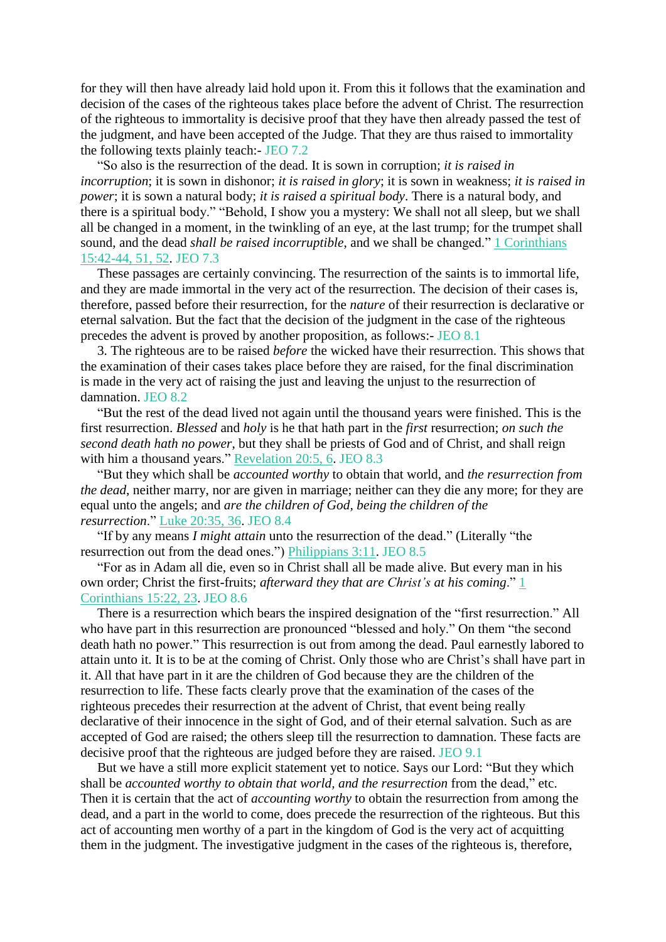for they will then have already laid hold upon it. From this it follows that the examination and decision of the cases of the righteous takes place before the advent of Christ. The resurrection of the righteous to immortality is decisive proof that they have then already passed the test of the judgment, and have been accepted of the Judge. That they are thus raised to immortality the following texts plainly teach:- JEO 7.2

"So also is the resurrection of the dead. It is sown in corruption; *it is raised in incorruption*; it is sown in dishonor; *it is raised in glory*; it is sown in weakness; *it is raised in power*; it is sown a natural body; *it is raised a spiritual body*. There is a natural body, and there is a spiritual body." "Behold, I show you a mystery: We shall not all sleep, but we shall all be changed in a moment, in the twinkling of an eye, at the last trump; for the trumpet shall sound, and the dead *shall be raised incorruptible*, and we shall be changed." 1 [Corinthians](https://m.egwwritings.org/en/book/1965.58646#58646) [15:42-44,](https://m.egwwritings.org/en/book/1965.58646#58646) 51, 52. JEO 7.3

These passages are certainly convincing. The resurrection of the saints is to immortal life, and they are made immortal in the very act of the resurrection. The decision of their cases is, therefore, passed before their resurrection, for the *nature* of their resurrection is declarative or eternal salvation. But the fact that the decision of the judgment in the case of the righteous precedes the advent is proved by another proposition, as follows:- JEO 8.1

3. The righteous are to be raised *before* the wicked have their resurrection. This shows that the examination of their cases takes place before they are raised, for the final discrimination is made in the very act of raising the just and leaving the unjust to the resurrection of damnation. JEO 8.2

"But the rest of the dead lived not again until the thousand years were finished. This is the first resurrection. *Blessed* and *holy* is he that hath part in the *first* resurrection; *on such the second death hath no power*, but they shall be priests of God and of Christ, and shall reign with him a thousand years." [Revelation](https://m.egwwritings.org/en/book/1965.63342#63342) 20:5, 6. JEO 8.3

"But they which shall be *accounted worthy* to obtain that world, and *the resurrection from the dead*, neither marry, nor are given in marriage; neither can they die any more; for they are equal unto the angels; and *are the children of God, being the children of the resurrection*." Luke [20:35,](https://m.egwwritings.org/en/book/1965.52666#52666) 36. JEO 8.4

"If by any means *I might attain* unto the resurrection of the dead." (Literally "the resurrection out from the dead ones.") [Philippians](https://m.egwwritings.org/en/book/1965.60023#60023) 3:11. JEO 8.5

"For as in Adam all die, even so in Christ shall all be made alive. But every man in his own order; Christ the first-fruits; *afterward they that are Christ's at his coming*." [1](https://m.egwwritings.org/en/book/1965.58606#58606) [Corinthians](https://m.egwwritings.org/en/book/1965.58606#58606) 15:22, 23. JEO 8.6

There is a resurrection which bears the inspired designation of the "first resurrection." All who have part in this resurrection are pronounced "blessed and holy." On them "the second death hath no power." This resurrection is out from among the dead. Paul earnestly labored to attain unto it. It is to be at the coming of Christ. Only those who are Christ's shall have part in it. All that have part in it are the children of God because they are the children of the resurrection to life. These facts clearly prove that the examination of the cases of the righteous precedes their resurrection at the advent of Christ, that event being really declarative of their innocence in the sight of God, and of their eternal salvation. Such as are accepted of God are raised; the others sleep till the resurrection to damnation. These facts are decisive proof that the righteous are judged before they are raised. JEO 9.1

But we have a still more explicit statement yet to notice. Says our Lord: "But they which shall be *accounted worthy to obtain that world, and the resurrection* from the dead," etc. Then it is certain that the act of *accounting worthy* to obtain the resurrection from among the dead, and a part in the world to come, does precede the resurrection of the righteous. But this act of accounting men worthy of a part in the kingdom of God is the very act of acquitting them in the judgment. The investigative judgment in the cases of the righteous is, therefore,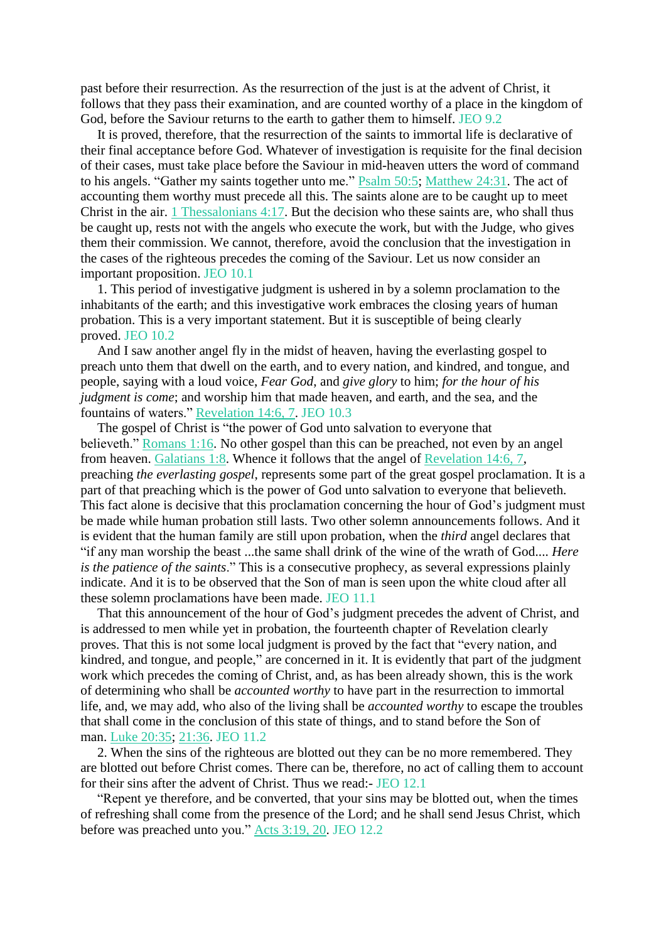past before their resurrection. As the resurrection of the just is at the advent of Christ, it follows that they pass their examination, and are counted worthy of a place in the kingdom of God, before the Saviour returns to the earth to gather them to himself. JEO 9.2

It is proved, therefore, that the resurrection of the saints to immortal life is declarative of their final acceptance before God. Whatever of investigation is requisite for the final decision of their cases, must take place before the Saviour in mid-heaven utters the word of command to his angels. "Gather my saints together unto me." **[Psalm](https://m.egwwritings.org/en/book/1965.29896#29896) 50:5; [Matthew](https://m.egwwritings.org/en/book/1965.48972#48972) 24:31**. The act of accounting them worthy must precede all this. The saints alone are to be caught up to meet Christ in the air. 1 [Thessalonians](https://m.egwwritings.org/en/book/1965.60410#60410) 4:17. But the decision who these saints are, who shall thus be caught up, rests not with the angels who execute the work, but with the Judge, who gives them their commission. We cannot, therefore, avoid the conclusion that the investigation in the cases of the righteous precedes the coming of the Saviour. Let us now consider an important proposition. JEO 10.1

1. This period of investigative judgment is ushered in by a solemn proclamation to the inhabitants of the earth; and this investigative work embraces the closing years of human probation. This is a very important statement. But it is susceptible of being clearly proved. JEO 10.2

And I saw another angel fly in the midst of heaven, having the everlasting gospel to preach unto them that dwell on the earth, and to every nation, and kindred, and tongue, and people, saying with a loud voice, *Fear God*, and *give glory* to him; *for the hour of his judgment is come*; and worship him that made heaven, and earth, and the sea, and the fountains of waters." [Revelation](https://m.egwwritings.org/en/book/1965.63114#63114) 14:6, 7. JEO 10.3

The gospel of Christ is "the power of God unto salvation to everyone that believeth." [Romans](https://m.egwwritings.org/en/book/1965.56987#56987) 1:16. No other gospel than this can be preached, not even by an angel from heaven. [Galatians](https://m.egwwritings.org/en/book/1965.59273#59273) 1:8. Whence it follows that the angel of [Revelation](https://m.egwwritings.org/en/book/1965.63114#63114) 14:6, 7, preaching *the everlasting gospel*, represents some part of the great gospel proclamation. It is a part of that preaching which is the power of God unto salvation to everyone that believeth. This fact alone is decisive that this proclamation concerning the hour of God's judgment must be made while human probation still lasts. Two other solemn announcements follows. And it is evident that the human family are still upon probation, when the *third* angel declares that "if any man worship the beast ...the same shall drink of the wine of the wrath of God.... *Here is the patience of the saints*." This is a consecutive prophecy, as several expressions plainly indicate. And it is to be observed that the Son of man is seen upon the white cloud after all these solemn proclamations have been made. JEO 11.1

That this announcement of the hour of God's judgment precedes the advent of Christ, and is addressed to men while yet in probation, the fourteenth chapter of Revelation clearly proves. That this is not some local judgment is proved by the fact that "every nation, and kindred, and tongue, and people," are concerned in it. It is evidently that part of the judgment work which precedes the coming of Christ, and, as has been already shown, this is the work of determining who shall be *accounted worthy* to have part in the resurrection to immortal life, and, we may add, who also of the living shall be *accounted worthy* to escape the troubles that shall come in the conclusion of this state of things, and to stand before the Son of man. Luke [20:35;](https://m.egwwritings.org/en/book/1965.52666#52666) [21:36.](https://m.egwwritings.org/en/book/1965.52763#52763) JEO 11.2

2. When the sins of the righteous are blotted out they can be no more remembered. They are blotted out before Christ comes. There can be, therefore, no act of calling them to account for their sins after the advent of Christ. Thus we read:- JEO 12.1

"Repent ye therefore, and be converted, that your sins may be blotted out, when the times of refreshing shall come from the presence of the Lord; and he shall send Jesus Christ, which before was preached unto you." Acts [3:19,](https://m.egwwritings.org/en/book/1965.55098#55098) 20. JEO 12.2